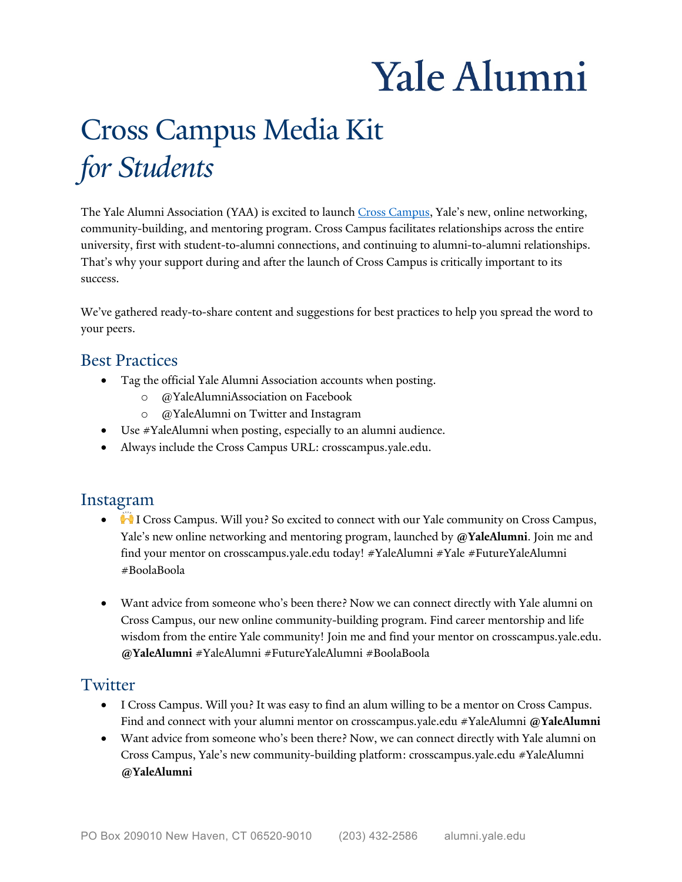# Yale Alumni

# Cross Campus Media Kit *for Students*

The Yale Alumni Association (YAA) is excited to launch Cross Campus, Yale's new, online networking, community-building, and mentoring program. Cross Campus facilitates relationships across the entire That's why your support during and after the launch of Cross Campus is critically important to its university, first with student-to-alumni connections, and continuing to alumni-to-alumni relationships. success.

 We've gathered ready-to-share content and suggestions for best practices to help you spread the word to your peers.

#### Best Practices

- • Tag the official Yale Alumni Association accounts when posting.
	- o @YaleAlumniAssociation on Facebook
	- o @YaleAlumni on Twitter and Instagram
- Use #YaleAlumni when posting, especially to an alumni audience.
- Always include the Cross Campus URL: [crosscampus.yale.edu.](https://crosscampus.yale.edu)

#### Instagram

- I Cross Campus. Will you? So excited to connect with our Yale community on Cross Campus, Yale's new online networking and mentoring program, launched by **@YaleAlumni**. Join me and find your mentor on [crosscampus.yale.edu](https://crosscampus.yale.edu) today! #YaleAlumni #Yale #FutureYaleAlumni #BoolaBoola
- • Want advice from someone who's been there? Now we can connect directly with Yale alumni on Cross Campus, our new online community-building program. Find career mentorship and life wisdom from the entire Yale community! Join me and find your mentor on [crosscampus.yale.edu](https://crosscampus.yale.edu). **@YaleAlumni** #YaleAlumni #FutureYaleAlumni #BoolaBoola

#### Twitter

- • I Cross Campus. Will you? It was easy to find an alum willing to be a mentor on Cross Campus. Find and connect with your alumni mentor on [crosscampus.yale.edu](https://crosscampus.yale.edu) #YaleAlumni **@YaleAlumni**
- • Want advice from someone who's been there? Now, we can connect directly with Yale alumni on Cross Campus, Yale's new community-building platform: [crosscampus.yale.edu](https://crosscampus.yale.edu) #YaleAlumni **@YaleAlumni**